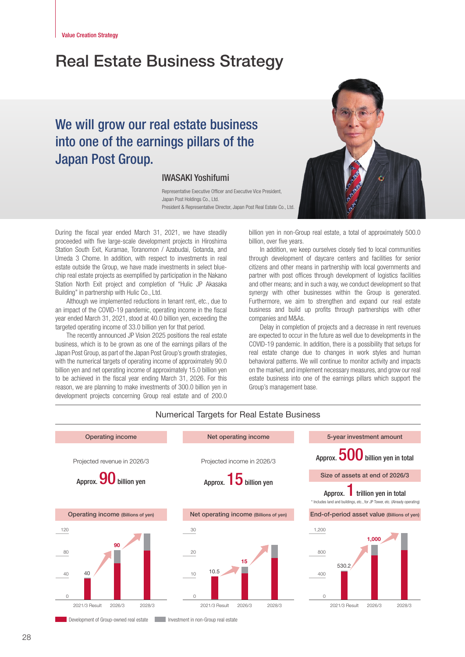# Real Estate Business Strategy

# We will grow our real estate business into one of the earnings pillars of the Japan Post Group.

## IWASAKI Yoshifumi

Representative Executive Officer and Executive Vice President, Japan Post Holdings Co., Ltd. President & Representative Director, Japan Post Real Estate Co., Ltd.

During the fiscal year ended March 31, 2021, we have steadily proceeded with five large-scale development projects in Hiroshima Station South Exit, Kuramae, Toranomon / Azabudai, Gotanda, and Umeda 3 Chome. In addition, with respect to investments in real estate outside the Group, we have made investments in select bluechip real estate projects as exemplified by participation in the Nakano Station North Exit project and completion of "Hulic JP Akasaka Building" in partnership with Hulic Co., Ltd.

Although we implemented reductions in tenant rent, etc., due to an impact of the COVID-19 pandemic, operating income in the fiscal year ended March 31, 2021, stood at 40.0 billion yen, exceeding the targeted operating income of 33.0 billion yen for that period.

The recently announced JP Vision 2025 positions the real estate business, which is to be grown as one of the earnings pillars of the Japan Post Group, as part of the Japan Post Group's growth strategies, with the numerical targets of operating income of approximately 90.0 billion yen and net operating income of approximately 15.0 billion yen to be achieved in the fiscal year ending March 31, 2026. For this reason, we are planning to make investments of 300.0 billion yen in development projects concerning Group real estate and of 200.0



billion yen in non-Group real estate, a total of approximately 500.0 billion, over five years.

In addition, we keep ourselves closely tied to local communities through development of daycare centers and facilities for senior citizens and other means in partnership with local governments and partner with post offices through development of logistics facilities and other means; and in such a way, we conduct development so that synergy with other businesses within the Group is generated. Furthermore, we aim to strengthen and expand our real estate business and build up profits through partnerships with other companies and M&As.

Delay in completion of projects and a decrease in rent revenues are expected to occur in the future as well due to developments in the COVID-19 pandemic. In addition, there is a possibility that setups for real estate change due to changes in work styles and human behavioral patterns. We will continue to monitor activity and impacts on the market, and implement necessary measures, and grow our real estate business into one of the earnings pillars which support the Group's management base.



Development of Group-owned real estate Investment in non-Group real estate